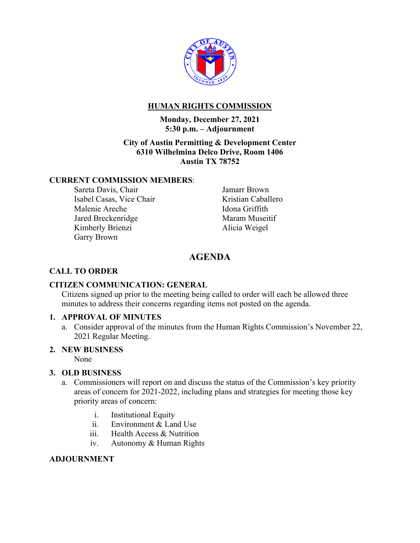

## **HUMAN RIGHTS COMMISSION**

#### **Monday, December 27, 2021 5:30 p.m. – Adjournment**

### **City of Austin Permitting & Development Center 6310 Wilhelmina Delco Drive, Room 1406 Austin TX 78752**

#### **CURRENT COMMISSION MEMBERS**:

Sareta Davis, Chair Isabel Casas, Vice Chair Malenie Areche Jared Breckenridge Kimberly Brienzi Garry Brown

Jamarr Brown Kristian Caballero Idona Griffith Maram Museitif Alicia Weigel

# **AGENDA**

## **CALL TO ORDER**

### **CITIZEN COMMUNICATION: GENERAL**

Citizens signed up prior to the meeting being called to order will each be allowed three minutes to address their concerns regarding items not posted on the agenda.

### **1. APPROVAL OF MINUTES**

a. Consider approval of the minutes from the Human Rights Commission's November 22, 2021 Regular Meeting.

### **2. NEW BUSINESS**

None

### **3. OLD BUSINESS**

- a. Commissioners will report on and discuss the status of the Commission's key priority areas of concern for 2021-2022, including plans and strategies for meeting those key priority areas of concern:
	- i. Institutional Equity
	- ii. Environment & Land Use
	- iii. Health Access & Nutrition
	- iv. Autonomy & Human Rights

### **ADJOURNMENT**